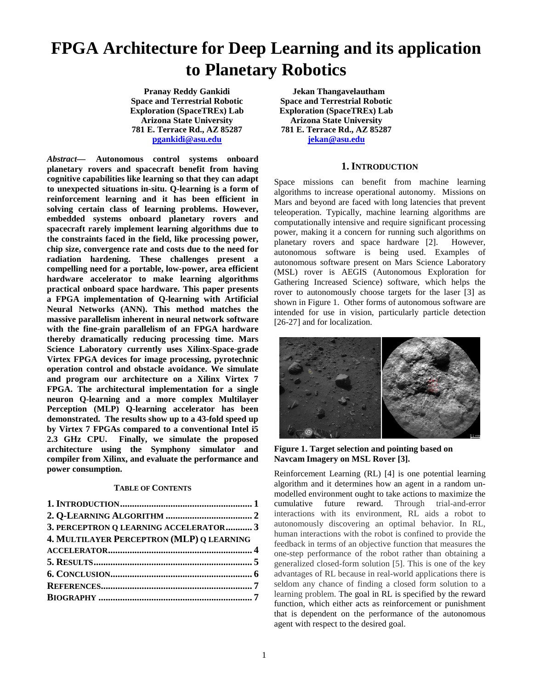# **FPGA Architecture for Deep Learning and its application to Planetary Robotics**

**Pranay Reddy Gankidi Space and Terrestrial Robotic Exploration (SpaceTREx) Lab Arizona State University 781 E. Terrace Rd., AZ 85287 [pgankidi@asu.edu](mailto:pgankidi@asu.edu)**

*Abstract***— Autonomous control systems onboard planetary rovers and spacecraft benefit from having cognitive capabilities like learning so that they can adapt to unexpected situations in-situ. Q-learning is a form of reinforcement learning and it has been efficient in solving certain class of learning problems. However, embedded systems onboard planetary rovers and spacecraft rarely implement learning algorithms due to the constraints faced in the field, like processing power, chip size, convergence rate and costs due to the need for radiation hardening. These challenges present a compelling need for a portable, low-power, area efficient hardware accelerator to make learning algorithms practical onboard space hardware. This paper presents a FPGA implementation of Q-learning with Artificial Neural Networks (ANN). This method matches the massive parallelism inherent in neural network software with the fine-grain parallelism of an FPGA hardware thereby dramatically reducing processing time. Mars Science Laboratory currently uses Xilinx-Space-grade Virtex FPGA devices for image processing, pyrotechnic operation control and obstacle avoidance. We simulate and program our architecture on a Xilinx Virtex 7 FPGA. The architectural implementation for a single neuron Q-learning and a more complex Multilayer Perception (MLP) Q-learning accelerator has been demonstrated. The results show up to a 43-fold speed up by Virtex 7 FPGAs compared to a conventional Intel i5 2.3 GHz CPU. Finally, we simulate the proposed architecture using the Symphony simulator and compiler from Xilinx, and evaluate the performance and power consumption.** 

### **TABLE OF CONTENTS**

| 3. PERCEPTRON Q LEARNING ACCELERATOR 3    |  |
|-------------------------------------------|--|
| 4. MULTILAYER PERCEPTRON (MLP) Q LEARNING |  |
|                                           |  |
|                                           |  |
|                                           |  |
|                                           |  |
|                                           |  |
|                                           |  |

**Jekan Thangavelautham Space and Terrestrial Robotic Exploration (SpaceTREx) Lab Arizona State University 781 E. Terrace Rd., AZ 85287 [jekan@asu.edu](mailto:jekan@asu.edu)**

## **1. INTRODUCTION**

<span id="page-0-0"></span>Space missions can benefit from machine learning algorithms to increase operational autonomy. Missions on Mars and beyond are faced with long latencies that prevent teleoperation. Typically, machine learning algorithms are computationally intensive and require significant processing power, making it a concern for running such algorithms on planetary rovers and space hardware [2]. However, autonomous software is being used. Examples of autonomous software present on Mars Science Laboratory (MSL) rover is AEGIS (Autonomous Exploration for Gathering Increased Science) software, which helps the rover to autonomously choose targets for the laser [3] as shown in Figure 1. Other forms of autonomous software are intended for use in vision, particularly particle detection [26-27] and for localization.



**Figure 1. Target selection and pointing based on Navcam Imagery on MSL Rover [3].** 

Reinforcement Learning (RL) [4] is one potential learning algorithm and it determines how an agent in a random unmodelled environment ought to take actions to maximize the cumulative future reward. Through trial-and-error interactions with its environment, RL aids a robot to autonomously discovering an optimal behavior. In RL, human interactions with the robot is confined to provide the feedback in terms of an objective function that measures the one-step performance of the robot rather than obtaining a generalized closed-form solution [5]. This is one of the key advantages of RL because in real-world applications there is seldom any chance of finding a closed form solution to a learning problem. The goal in RL is specified by the reward function, which either acts as reinforcement or punishment that is dependent on the performance of the autonomous agent with respect to the desired goal.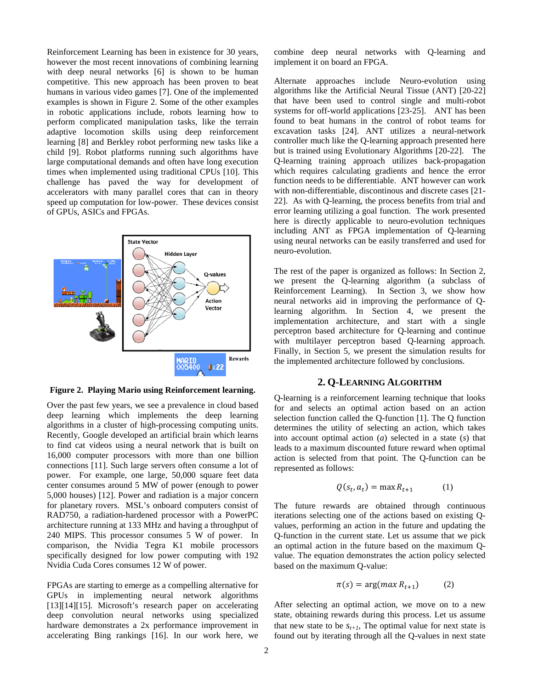Reinforcement Learning has been in existence for 30 years, however the most recent innovations of combining learning with deep neural networks [6] is shown to be human competitive. This new approach has been proven to beat humans in various video games [7]. One of the implemented examples is shown in Figure 2. Some of the other examples in robotic applications include, robots learning how to perform complicated manipulation tasks, like the terrain adaptive locomotion skills using deep reinforcement learning [8] and Berkley robot performing new tasks like a child [9]. Robot platforms running such algorithms have large computational demands and often have long execution times when implemented using traditional CPUs [10]. This challenge has paved the way for development of accelerators with many parallel cores that can in theory speed up computation for low-power. These devices consist of GPUs, ASICs and FPGAs.



**Figure 2. Playing Mario using Reinforcement learning.** 

Over the past few years, we see a prevalence in cloud based deep learning which implements the deep learning algorithms in a cluster of high-processing computing units. Recently, Google developed an artificial brain which learns to find cat videos using a neural network that is built on 16,000 computer processors with more than one billion connections [11]. Such large servers often consume a lot of power. For example, one large, 50,000 square feet data center consumes around 5 MW of power (enough to power 5,000 houses) [12]. Power and radiation is a major concern for planetary rovers. MSL's onboard computers consist of RAD750, a radiation-hardened processor with a PowerPC architecture running at 133 MHz and having a throughput of 240 MIPS. This processor consumes 5 W of power. In comparison, the Nvidia Tegra K1 mobile processors specifically designed for low power computing with 192 Nvidia Cuda Cores consumes 12 W of power.

FPGAs are starting to emerge as a compelling alternative for GPUs in implementing neural network algorithms [13][14][15]. Microsoft's research paper on accelerating deep convolution neural networks using specialized hardware demonstrates a 2x performance improvement in accelerating Bing rankings [16]. In our work here, we

combine deep neural networks with Q-learning and implement it on board an FPGA.

Alternate approaches include Neuro-evolution using algorithms like the Artificial Neural Tissue (ANT) [20-22] that have been used to control single and multi-robot systems for off-world applications [23-25]. ANT has been found to beat humans in the control of robot teams for excavation tasks [24]. ANT utilizes a neural-network controller much like the Q-learning approach presented here but is trained using Evolutionary Algorithms [20-22]. The Q-learning training approach utilizes back-propagation which requires calculating gradients and hence the error function needs to be differentiable. ANT however can work with non-differentiable, discontinous and discrete cases [21- 22]. As with Q-learning, the process benefits from trial and error learning utilizing a goal function. The work presented here is directly applicable to neuro-evolution techniques including ANT as FPGA implementation of Q-learning using neural networks can be easily transferred and used for neuro-evolution.

The rest of the paper is organized as follows: In Section 2, we present the Q-learning algorithm (a subclass of Reinforcement Learning). In Section 3, we show how neural networks aid in improving the performance of Qlearning algorithm. In Section 4, we present the implementation architecture, and start with a single perceptron based architecture for Q-learning and continue with multilayer perceptron based Q-learning approach. Finally, in Section 5, we present the simulation results for the implemented architecture followed by conclusions.

## **2. Q-LEARNING ALGORITHM**

<span id="page-1-0"></span>Q-learning is a reinforcement learning technique that looks for and selects an optimal action based on an action selection function called the Q-function [1]. The Q function determines the utility of selecting an action, which takes into account optimal action (*a*) selected in a state (*s*) that leads to a maximum discounted future reward when optimal action is selected from that point. The Q-function can be represented as follows:

$$
Q(s_t, a_t) = \max R_{t+1} \tag{1}
$$

The future rewards are obtained through continuous iterations selecting one of the actions based on existing Qvalues, performing an action in the future and updating the Q-function in the current state. Let us assume that we pick an optimal action in the future based on the maximum Qvalue. The equation demonstrates the action policy selected based on the maximum Q-value:

$$
\pi(s) = \arg(max R_{t+1}) \tag{2}
$$

After selecting an optimal action, we move on to a new state, obtaining rewards during this process. Let us assume that new state to be  $s_{t+1}$ , The optimal value for next state is found out by iterating through all the Q-values in next state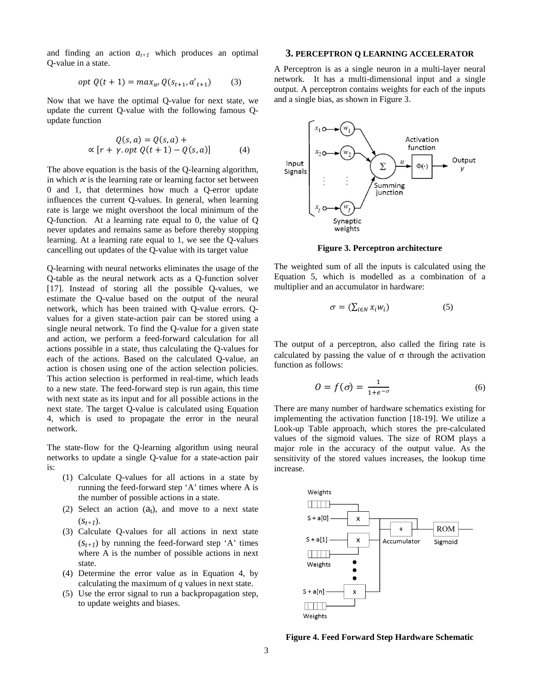and finding an action  $a_{t+1}$  which produces an optimal Q-value in a state.

$$
opt Q(t + 1) = max_{a'} Q(s_{t+1}, a'_{t+1})
$$
 (3)

Now that we have the optimal Q-value for next state, we update the current Q-value with the following famous Qupdate function

$$
Q(s, a) = Q(s, a) +
$$
  
 
$$
\propto [r + \gamma \cdot opt \ Q(t + 1) - Q(s, a)] \tag{4}
$$

The above equation is the basis of the Q-learning algorithm, in which  $\alpha$  is the learning rate or learning factor set between 0 and 1, that determines how much a Q-error update influences the current Q-values. In general, when learning rate is large we might overshoot the local minimum of the Q-function. At a learning rate equal to 0, the value of Q never updates and remains same as before thereby stopping learning. At a learning rate equal to 1, we see the Q-values cancelling out updates of the Q-value with its target value

Q-learning with neural networks eliminates the usage of the Q-table as the neural network acts as a Q-function solver [17]. Instead of storing all the possible Q-values, we estimate the Q-value based on the output of the neural network, which has been trained with Q-value errors. Qvalues for a given state-action pair can be stored using a single neural network. To find the Q-value for a given state and action, we perform a feed-forward calculation for all actions possible in a state, thus calculating the Q-values for each of the actions. Based on the calculated Q-value, an action is chosen using one of the action selection policies. This action selection is performed in real-time, which leads to a new state. The feed-forward step is run again, this time with next state as its input and for all possible actions in the next state. The target Q-value is calculated using Equation 4, which is used to propagate the error in the neural network.

The state-flow for the Q-learning algorithm using neural networks to update a single Q-value for a state-action pair is:

- (1) Calculate Q-values for all actions in a state by running the feed-forward step 'A' times where A is the number of possible actions in a state.
- (2) Select an action  $(a_t)$ , and move to a next state  $(S_{t+1})$ .
- (3) Calculate Q-values for all actions in next state  $(s_{t+1})$  by running the feed-forward step 'A' times where A is the number of possible actions in next state.
- (4) Determine the error value as in Equation 4, by calculating the maximum of *q* values in next state.
- (5) Use the error signal to run a backpropagation step, to update weights and biases.

#### <span id="page-2-0"></span>**3. PERCEPTRON Q LEARNING ACCELERATOR**

A Perceptron is as a single neuron in a multi-layer neural network. It has a multi-dimensional input and a single output. A perceptron contains weights for each of the inputs and a single bias, as shown in Figure 3.



**Figure 3. Perceptron architecture**

The weighted sum of all the inputs is calculated using the Equation 5, which is modelled as a combination of a multiplier and an accumulator in hardware:

$$
\sigma = (\sum_{i \in N} x_i w_i) \tag{5}
$$

The output of a perceptron, also called the firing rate is calculated by passing the value of  $\sigma$  through the activation function as follows:

$$
0 = f(\sigma) = \frac{1}{1 + e^{-\sigma}}\tag{6}
$$

There are many number of hardware schematics existing for implementing the activation function [18-19]. We utilize a Look-up Table approach, which stores the pre-calculated values of the sigmoid values. The size of ROM plays a major role in the accuracy of the output value. As the sensitivity of the stored values increases, the lookup time increase.



**Figure 4. Feed Forward Step Hardware Schematic**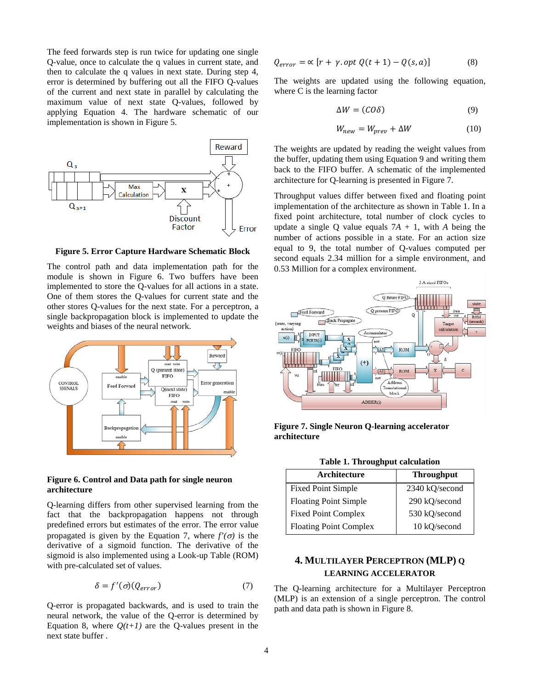The feed forwards step is run twice for updating one single Q-value, once to calculate the q values in current state, and then to calculate the q values in next state. During step 4, error is determined by buffering out all the FIFO Q-values of the current and next state in parallel by calculating the maximum value of next state Q-values, followed by applying Equation 4. The hardware schematic of our implementation is shown in Figure 5.



**Figure 5. Error Capture Hardware Schematic Block**

The control path and data implementation path for the module is shown in Figure 6. Two buffers have been implemented to store the Q-values for all actions in a state. One of them stores the Q-values for current state and the other stores Q-values for the next state. For a perceptron, a single backpropagation block is implemented to update the weights and biases of the neural network.



## **Figure 6. Control and Data path for single neuron architecture**

Q-learning differs from other supervised learning from the fact that the backpropagation happens not through predefined errors but estimates of the error. The error value propagated is given by the Equation 7, where  $f'(\sigma)$  is the derivative of a sigmoid function. The derivative of the sigmoid is also implemented using a Look-up Table (ROM) with pre-calculated set of values.

$$
\delta = f'(\sigma)(Q_{error})
$$
\n(7)

Q-error is propagated backwards, and is used to train the neural network, the value of the Q-error is determined by Equation 8, where  $Q(t+1)$  are the Q-values present in the next state buffer .

$$
Q_{error} = \alpha \left[ r + \gamma \text{.} opt \ Q(t+1) - Q(s,a) \right] \tag{8}
$$

The weights are updated using the following equation, where C is the learning factor

$$
\Delta W = (CO\delta) \tag{9}
$$

$$
W_{new} = W_{prev} + \Delta W \tag{10}
$$

The weights are updated by reading the weight values from the buffer, updating them using Equation 9 and writing them back to the FIFO buffer. A schematic of the implemented architecture for Q-learning is presented in Figure 7.

Throughput values differ between fixed and floating point implementation of the architecture as shown in Table 1. In a fixed point architecture, total number of clock cycles to update a single O value equals  $7A + 1$ , with *A* being the number of actions possible in a state. For an action size equal to 9, the total number of Q-values computed per second equals 2.34 million for a simple environment, and 0.53 Million for a complex environment.



**Figure 7. Single Neuron Q-learning accelerator architecture**

**Table 1. Throughput calculation**

| Architecture                  | <b>Throughput</b> |
|-------------------------------|-------------------|
| <b>Fixed Point Simple</b>     | 2340 kQ/second    |
| <b>Floating Point Simple</b>  | 290 kQ/second     |
| <b>Fixed Point Complex</b>    | 530 kQ/second     |
| <b>Floating Point Complex</b> | 10 kQ/second      |

# <span id="page-3-0"></span>**4. MULTILAYER PERCEPTRON (MLP) Q LEARNING ACCELERATOR**

The Q-learning architecture for a Multilayer Perceptron (MLP) is an extension of a single perceptron. The control path and data path is shown in Figure 8.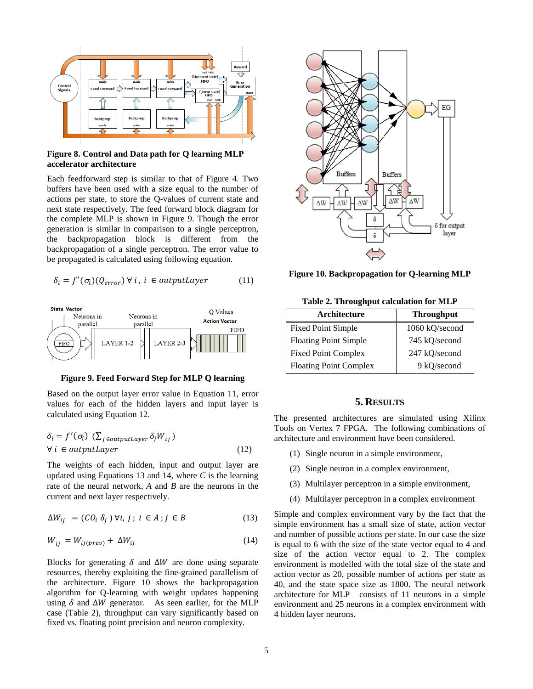

## **Figure 8. Control and Data path for Q learning MLP accelerator architecture**

Each feedforward step is similar to that of Figure 4. Two buffers have been used with a size equal to the number of actions per state, to store the Q-values of current state and next state respectively. The feed forward block diagram for the complete MLP is shown in Figure 9. Though the error generation is similar in comparison to a single perceptron, the backpropagation block is different from the backpropagation of a single perceptron. The error value to be propagated is calculated using following equation.

$$
\delta_i = f'(\sigma_i)(Q_{error}) \ \forall \ i, \ i \ \in outputLayer \qquad \qquad (11)
$$



**Figure 9. Feed Forward Step for MLP Q learning**

Based on the output layer error value in Equation 11, error values for each of the hidden layers and input layer is calculated using Equation 12.

$$
\delta_i = f'(\sigma_i) \left( \sum_{j \in outputLayer} \delta_j W_{ij} \right)
$$
  
\n
$$
\forall i \in outputLayer
$$
 (12)

The weights of each hidden, input and output layer are updated using Equations 13 and 14, where *C* is the learning rate of the neural network, *A* and *B* are the neurons in the current and next layer respectively.

$$
\Delta W_{ij} = (C O_i \, \delta_j) \, \forall i, j; i \in A; j \in B \tag{13}
$$

$$
W_{ij} = W_{ij(prev)} + \Delta W_{ij} \tag{14}
$$

Blocks for generating  $\delta$  and  $\Delta W$  are done using separate resources, thereby exploiting the fine-grained parallelism of the architecture. Figure 10 shows the backpropagation algorithm for Q-learning with weight updates happening using  $\delta$  and  $\Delta W$  generator. As seen earlier, for the MLP case (Table 2), throughput can vary significantly based on fixed vs. floating point precision and neuron complexity.



**Figure 10. Backpropagation for Q-learning MLP**

**Table 2. Throughput calculation for MLP**

| Architecture                  | <b>Throughput</b> |
|-------------------------------|-------------------|
| <b>Fixed Point Simple</b>     | 1060 kQ/second    |
| <b>Floating Point Simple</b>  | 745 kQ/second     |
| <b>Fixed Point Complex</b>    | 247 kQ/second     |
| <b>Floating Point Complex</b> | 9 kQ/second       |

## **5. RESULTS**

<span id="page-4-0"></span>The presented architectures are simulated using Xilinx Tools on Vertex 7 FPGA. The following combinations of architecture and environment have been considered.

- (1) Single neuron in a simple environment,
- (2) Single neuron in a complex environment,
- (3) Multilayer perceptron in a simple environment,
- (4) Multilayer perceptron in a complex environment

Simple and complex environment vary by the fact that the simple environment has a small size of state, action vector and number of possible actions per state. In our case the size is equal to 6 with the size of the state vector equal to 4 and size of the action vector equal to 2. The complex environment is modelled with the total size of the state and action vector as 20, possible number of actions per state as 40, and the state space size as 1800. The neural network architecture for MLP consists of 11 neurons in a simple environment and 25 neurons in a complex environment with 4 hidden layer neurons.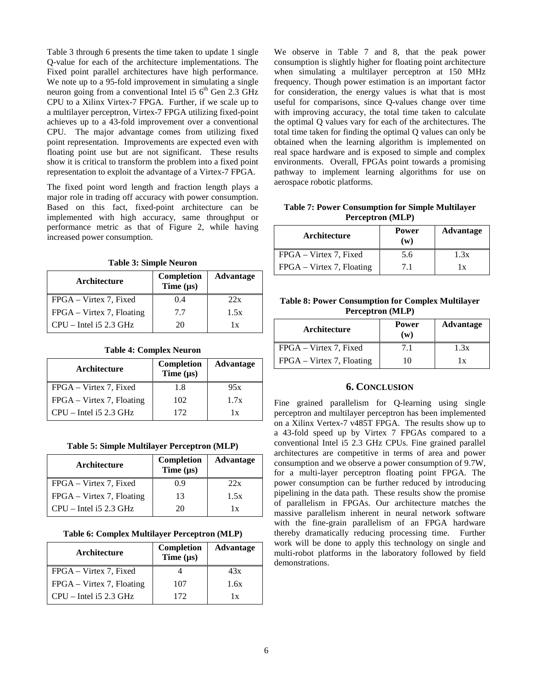Table 3 through 6 presents the time taken to update 1 single Q-value for each of the architecture implementations. The Fixed point parallel architectures have high performance. We note up to a 95-fold improvement in simulating a single neuron going from a conventional Intel i5  $6<sup>th</sup>$  Gen 2.3 GHz CPU to a Xilinx Virtex-7 FPGA. Further, if we scale up to a multilayer perceptron, Virtex-7 FPGA utilizing fixed-point achieves up to a 43-fold improvement over a conventional CPU. The major advantage comes from utilizing fixed point representation. Improvements are expected even with floating point use but are not significant. These results show it is critical to transform the problem into a fixed point representation to exploit the advantage of a Virtex-7 FPGA.

The fixed point word length and fraction length plays a major role in trading off accuracy with power consumption. Based on this fact, fixed-point architecture can be implemented with high accuracy, same throughput or performance metric as that of Figure 2, while having increased power consumption.

**Table 3: Simple Neuron**

| Architecture              | <b>Completion</b><br>Time $(\mu s)$ | <b>Advantage</b> |
|---------------------------|-------------------------------------|------------------|
| FPGA – Virtex 7, Fixed    | 0.4                                 | 22x              |
| FPGA – Virtex 7, Floating | 7.7                                 | 1.5x             |
| $CPU$ – Intel is 2.3 GHz  | 20                                  | 1x               |

|  | <b>Table 4: Complex Neuron</b> |  |
|--|--------------------------------|--|
|--|--------------------------------|--|

| Architecture              | Completion<br>Time $(\mu s)$ | <b>Advantage</b>        |
|---------------------------|------------------------------|-------------------------|
| FPGA – Virtex 7, Fixed    | 1.8                          | 95x                     |
| FPGA – Virtex 7, Floating | 102                          | 1.7x                    |
| $CPU$ – Intel is 2.3 GHz  | 172                          | $\mathbf{1} \mathbf{x}$ |

**Table 5: Simple Multilayer Perceptron (MLP)**

| Architecture                 | <b>Completion</b><br>Time $(\mu s)$ | <b>Advantage</b> |
|------------------------------|-------------------------------------|------------------|
| FPGA – Virtex 7, Fixed       | 0.9                                 | 22x              |
| $FPGA - Virtex 7$ , Floating | 13                                  | 1.5x             |
| $CPU$ – Intel is 2.3 GHz     | 20                                  | 1x               |

**Table 6: Complex Multilayer Perceptron (MLP)**

| Architecture                 | <b>Completion</b><br>Time $(\mu s)$ | <b>Advantage</b> |
|------------------------------|-------------------------------------|------------------|
| FPGA – Virtex 7, Fixed       |                                     | 43x              |
| $FPGA - Virtex 7$ , Floating | 107                                 | 1.6x             |
| $CPU$ – Intel is 2.3 GHz     | 172                                 | 1 x              |

We observe in Table 7 and 8, that the peak power consumption is slightly higher for floating point architecture when simulating a multilayer perceptron at 150 MHz frequency. Though power estimation is an important factor for consideration, the energy values is what that is most useful for comparisons, since Q-values change over time with improving accuracy, the total time taken to calculate the optimal Q values vary for each of the architectures. The total time taken for finding the optimal Q values can only be obtained when the learning algorithm is implemented on real space hardware and is exposed to simple and complex environments. Overall, FPGAs point towards a promising pathway to implement learning algorithms for use on aerospace robotic platforms.

**Table 7: Power Consumption for Simple Multilayer Perceptron (MLP)**

| Architecture              | <b>Power</b><br>(w) | Advantage |
|---------------------------|---------------------|-----------|
| FPGA – Virtex 7, Fixed    | 5.6                 | 1.3x      |
| FPGA – Virtex 7, Floating | 7.1                 | 1 x       |

**Table 8: Power Consumption for Complex Multilayer Perceptron (MLP)**

| Architecture              | <b>Power</b><br>$(\mathbf{w})$ | Advantage |
|---------------------------|--------------------------------|-----------|
| FPGA – Virtex 7, Fixed    | 7.1                            | 1.3x      |
| FPGA – Virtex 7, Floating | 10                             | 1 x       |

## **6. CONCLUSION**

<span id="page-5-0"></span>Fine grained parallelism for Q-learning using single perceptron and multilayer perceptron has been implemented on a Xilinx Vertex-7 v485T FPGA. The results show up to a 43-fold speed up by Virtex 7 FPGAs compared to a conventional Intel i5 2.3 GHz CPUs. Fine grained parallel architectures are competitive in terms of area and power consumption and we observe a power consumption of 9.7W, for a multi-layer perceptron floating point FPGA. The power consumption can be further reduced by introducing pipelining in the data path. These results show the promise of parallelism in FPGAs. Our architecture matches the massive parallelism inherent in neural network software with the fine-grain parallelism of an FPGA hardware thereby dramatically reducing processing time. Further work will be done to apply this technology on single and multi-robot platforms in the laboratory followed by field demonstrations.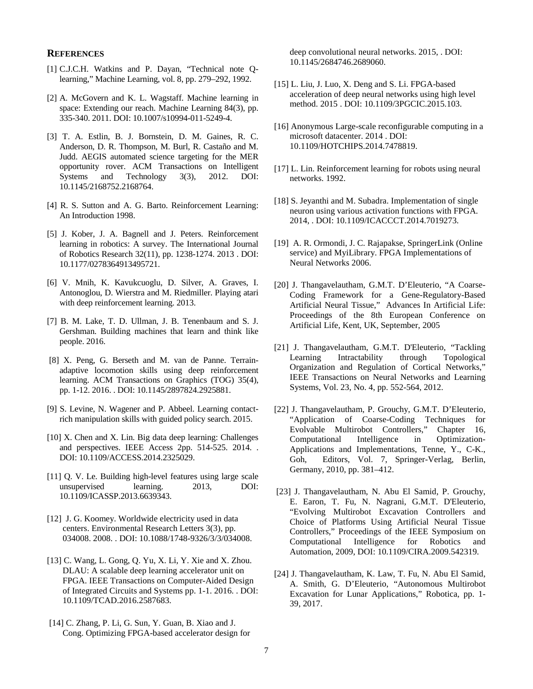## <span id="page-6-0"></span>**REFERENCES**

- [1] C.J.C.H. Watkins and P. Dayan, "Technical note Qlearning," Machine Learning, vol. 8, pp. 279–292, 1992.
- [2] A. McGovern and K. L. Wagstaff. Machine learning in space: Extending our reach. Machine Learning 84(3), pp. 335-340. 2011. DOI: 10.1007/s10994-011-5249-4.
- [3] T. A. Estlin, B. J. Bornstein, D. M. Gaines, R. C. Anderson, D. R. Thompson, M. Burl, R. Castaño and M. Judd. AEGIS automated science targeting for the MER opportunity rover. ACM Transactions on Intelligent Systems and Technology 3(3), 2012. DOI: 10.1145/2168752.2168764.
- [4] R. S. Sutton and A. G. Barto. Reinforcement Learning: An Introduction 1998.
- [5] J. Kober, J. A. Bagnell and J. Peters. Reinforcement learning in robotics: A survey. The International Journal of Robotics Research 32(11), pp. 1238-1274. 2013 . DOI: 10.1177/0278364913495721.
- [6] V. Mnih, K. Kavukcuoglu, D. Silver, A. Graves, I. Antonoglou, D. Wierstra and M. Riedmiller. Playing atari with deep reinforcement learning. 2013.
- [7] B. M. Lake, T. D. Ullman, J. B. Tenenbaum and S. J. Gershman. Building machines that learn and think like people. 2016.
- [8] X. Peng, G. Berseth and M. van de Panne. Terrainadaptive locomotion skills using deep reinforcement learning. ACM Transactions on Graphics (TOG) 35(4), pp. 1-12. 2016. . DOI: 10.1145/2897824.2925881.
- [9] S. Levine, N. Wagener and P. Abbeel. Learning contactrich manipulation skills with guided policy search. 2015.
- [10] X. Chen and X. Lin. Big data deep learning: Challenges and perspectives. IEEE Access 2pp. 514-525. 2014. . DOI: 10.1109/ACCESS.2014.2325029.
- [11] Q. V. Le. Building high-level features using large scale unsupervised learning. 2013, DOI: 10.1109/ICASSP.2013.6639343.
- [12] J. G. Koomey. Worldwide electricity used in data centers. Environmental Research Letters 3(3), pp. 034008. 2008. . DOI: 10.1088/1748-9326/3/3/034008.
- [13] C. Wang, L. Gong, Q. Yu, X. Li, Y. Xie and X. Zhou. DLAU: A scalable deep learning accelerator unit on FPGA. IEEE Transactions on Computer-Aided Design of Integrated Circuits and Systems pp. 1-1. 2016. . DOI: 10.1109/TCAD.2016.2587683.
- [14] C. Zhang, P. Li, G. Sun, Y. Guan, B. Xiao and J. Cong. Optimizing FPGA-based accelerator design for

deep convolutional neural networks. 2015, . DOI: 10.1145/2684746.2689060.

- [15] L. Liu, J. Luo, X. Deng and S. Li. FPGA-based acceleration of deep neural networks using high level method. 2015 . DOI: 10.1109/3PGCIC.2015.103.
- [16] Anonymous Large-scale reconfigurable computing in a microsoft datacenter. 2014 . DOI: 10.1109/HOTCHIPS.2014.7478819.
- [17] L. Lin. Reinforcement learning for robots using neural networks. 1992.
- [18] S. Jeyanthi and M. Subadra. Implementation of single neuron using various activation functions with FPGA. 2014, . DOI: 10.1109/ICACCCT.2014.7019273.
- [19] A. R. Ormondi, J. C. Rajapakse, SpringerLink (Online service) and MyiLibrary. FPGA Implementations of Neural Networks 2006.
- [20] J. Thangavelautham, G.M.T. D'Eleuterio, "A Coarse-Coding Framework for a Gene-Regulatory-Based Artificial Neural Tissue," Advances In Artificial Life: Proceedings of the 8th European Conference on Artificial Life, Kent, UK, September, 2005
- [21] J. Thangavelautham, G.M.T. D'Eleuterio, "Tackling Learning Intractability through Topological Organization and Regulation of Cortical Networks," IEEE Transactions on Neural Networks and Learning Systems, Vol. 23, No. 4, pp. 552-564, 2012.
- [22] J. Thangavelautham, P. Grouchy, G.M.T. D'Eleuterio, "Application of Coarse-Coding Techniques for Evolvable Multirobot Controllers," Chapter 16, Computational Intelligence in Optimization-Applications and Implementations, Tenne, Y., C-K., Goh, Editors, Vol. 7, Springer-Verlag, Berlin, Germany, 2010, pp. 381–412.
- <span id="page-6-1"></span>[23] J. Thangavelautham, N. Abu El Samid, P. Grouchy, E. Earon, T. Fu, N. Nagrani, G.M.T. D'Eleuterio, "Evolving Multirobot Excavation Controllers and Choice of Platforms Using Artificial Neural Tissue Controllers," Proceedings of the IEEE Symposium on Computational Intelligence for Robotics and Automation, 2009, DOI: 10.1109/CIRA.2009.542319.
- [24] J. Thangavelautham, K. Law, T. Fu, N. Abu El Samid, A. Smith, G. D'Eleuterio, "Autonomous Multirobot Excavation for Lunar Applications," Robotica, pp. 1- 39, 2017.